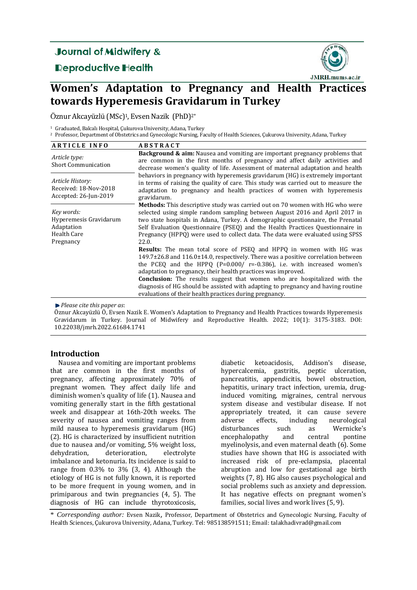# **Journal of Midwifery &**

**Reproductive Health** 



# **Women's Adaptation to Pregnancy and Health Practices towards Hyperemesis Gravidarum in Turkey**

Öznur Akcayüzlü (MSc)<sup>1</sup>, Evsen Nazik (PhD)<sup>2\*</sup>

<sup>1</sup> Graduated, Balcalı Hospital, Cukurova University, Adana, Turkey

<sup>2</sup> Professor, Department of Obstetrics and Gynecologic Nursing, Faculty of Health Sciences, Çukurova University, Adana, Turkey

| <b>ARTICLE INFO</b>                                                                   | <b>ABSTRACT</b>                                                                                                                                                                                                                                                                                                                                                                                                                                                                                                                                          |  |  |  |
|---------------------------------------------------------------------------------------|----------------------------------------------------------------------------------------------------------------------------------------------------------------------------------------------------------------------------------------------------------------------------------------------------------------------------------------------------------------------------------------------------------------------------------------------------------------------------------------------------------------------------------------------------------|--|--|--|
| Article type:<br><b>Short Communication</b>                                           | <b>Background &amp; aim:</b> Nausea and vomiting are important pregnancy problems that<br>are common in the first months of pregnancy and affect daily activities and<br>decrease women's quality of life. Assessment of maternal adaptation and health                                                                                                                                                                                                                                                                                                  |  |  |  |
| Article History:<br>Received: 18-Nov-2018<br>Accepted: 26-Jun-2019                    | behaviors in pregnancy with hyperemesis gravidarum (HG) is extremely important<br>in terms of raising the quality of care. This study was carried out to measure the<br>adaptation to pregnancy and health practices of women with hyperemesis<br>gravidarum.                                                                                                                                                                                                                                                                                            |  |  |  |
| Key words:<br>Hyperemesis Gravidarum<br>Adaptation<br><b>Health Care</b><br>Pregnancy | <b>Methods:</b> This descriptive study was carried out on 70 women with HG who were<br>selected using simple random sampling between August 2016 and April 2017 in<br>two state hospitals in Adana, Turkey. A demographic questionnaire, the Prenatal<br>Self Evaluation Questionnaire (PSEQ) and the Health Practices Questionnaire in<br>Pregnancy (HPPQ) were used to collect data. The data were evaluated using SPSS<br>22.0.                                                                                                                       |  |  |  |
|                                                                                       | <b>Results:</b> The mean total score of PSEQ and HPPQ in women with HG was<br>$149.7\pm26.8$ and $116.0\pm14.0$ , respectively. There was a positive correlation between<br>the PCEQ and the HPPQ $(P=0.000/ r=-0.386)$ , i.e. with increased women's<br>adaptation to pregnancy, their health practices was improved.<br><b>Conclusion:</b> The results suggest that women who are hospitalized with the<br>diagnosis of HG should be assisted with adapting to pregnancy and having routine<br>evaluations of their health practices during pregnancy. |  |  |  |

*Please cite this paper as*: 

Öznur Akcayüzlü Ö, Evsen Nazik E. Women's Adaptation to Pregnancy and Health Practices towards Hyperemesis Gravidarum in Turkey. Journal of Midwifery and Reproductive Health. 2022; 10(1): 3175-3183. DOI: 10.22038/jmrh.2022.61684.1741 

## **Introduction**

Nausea and vomiting are important problems that are common in the first months of pregnancy, affecting approximately 70% of pregnant women. They affect daily life and diminish women's quality of life (1). Nausea and vomiting generally start in the fifth gestational week and disappear at 16th-20th weeks. The severity of nausea and vomiting ranges from mild nausea to hyperemesis gravidarum (HG) (2). HG is characterized by insufficient nutrition due to nausea and/or vomiting,  $5\%$  weight loss, dehydration, deterioration, electrolyte imbalance and ketonuria. Its incidence is said to range from  $0.3\%$  to  $3\%$  (3, 4). Although the etiology of HG is not fully known, it is reported to be more frequent in young women, and in primiparous and twin pregnancies  $(4, 5)$ . The diagnosis of HG can include thyrotoxicosis,

diabetic ketoacidosis, Addison's disease, hypercalcemia, gastritis, peptic ulceration, pancreatitis, appendicitis, bowel obstruction, hepatitis, urinary tract infection, uremia, druginduced vomiting, migraines, central nervous system disease and vestibular disease. If not appropriately treated, it can cause severe<br>adverse effects. including neurological adverse effects, including neurological disturbances such as Wernicke's encephalopathy and central pontine myelinolysis, and even maternal death (6). Some studies have shown that HG is associated with increased risk of pre-eclampsia, placental abruption and low for gestational age birth weights (7, 8). HG also causes psychological and social problems such as anxiety and depression. It has negative effects on pregnant women's families, social lives and work lives (5, 9).

\* *Corresponding author:* Evsen Nazik, Professor, Department of Obstetrics and Gynecologic Nursing, Faculty of Health Sciences, Çukurova University, Adana, Turkey. Tel: 985138591511; Email: talakhadivrad@gmail.com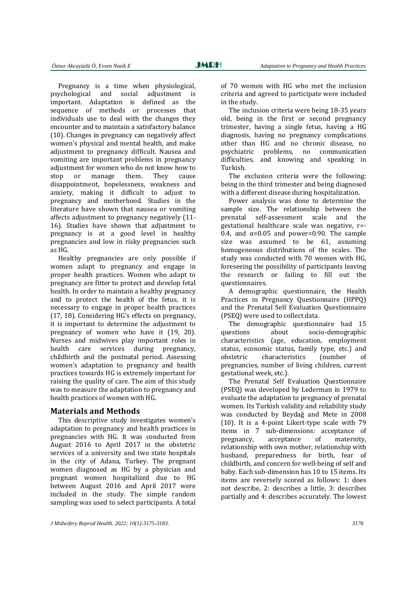Pregnancy is a time when physiological, psychological and social adjustment is important. Adaptation is defined as the sequence of methods or processes that individuals use to deal with the changes they encounter and to maintain a satisfactory balance (10). Changes in pregnancy can negatively affect women's physical and mental health, and make adjustment to pregnancy difficult. Nausea and vomiting are important problems in pregnancy adjustment for women who do not know how to stop or manage them. They cause disappointment, hopelessness, weakness and anxiety, making it difficult to adjust to pregnancy and motherhood. Studies in the literature have shown that nausea or vomiting affects adjustment to pregnancy negatively (11-16). Studies have shown that adjustment to pregnancy is at a good level in healthy pregnancies and low in risky pregnancies such as HG. 

Healthy pregnancies are only possible if women adapt to pregnancy and engage in proper health practices. Women who adapt to pregnancy are fitter to protect and develop fetal health. In order to maintain a healthy pregnancy and to protect the health of the fetus, it is necessary to engage in proper health practices  $(17, 18)$ . Considering HG's effects on pregnancy, it is important to determine the adjustment to pregnancy of women who have it (19, 20). Nurses and midwives play important roles in health care services during pregnancy, childbirth and the postnatal period. Assessing women's adaptation to pregnancy and health practices towards HG is extremely important for raising the quality of care. The aim of this study was to measure the adaptation to pregnancy and health practices of women with HG.

### **Materials and Methods**

This descriptive study investigates women's adaptation to pregnancy and health practices in pregnancies with HG. It was conducted from August 2016 to April 2017 in the obstetric services of a university and two state hospitals in the city of Adana, Turkey. The pregnant women diagnosed as HG by a physician and pregnant women hospitalized due to HG between August 2016 and April 2017 were included in the study. The simple random sampling was used to select participants. A total of 70 women with HG who met the inclusion criteria and agreed to participate were included in the study.

The inclusion criteria were being  $18-35$  years old, being in the first or second pregnancy trimester, having a single fetus, having a HG diagnosis, having no pregnancy complications other than HG and no chronic disease, no psychiatric problems, no communication difficulties, and knowing and speaking in Turkish. 

The exclusion criteria were the following: being in the third trimester and being diagnosed with a different disease during hospitalization.

Power analysis was done to determine the sample size. The relationship between the prenatal self-assessment scale and the gestational healthcare scale was negative, r=-0.4, and  $\alpha$ =0.05 and power=0.90. The sample size was assumed to be  $61$ , assuming homogeneous distributions of the scales. The study was conducted with 70 women with HG, foreseeing the possibility of participants leaving the research or failing to fill out the questionnaires. 

A demographic questionnaire, the Health Practices in Pregnancy Questionnaire (HPPQ) and the Prenatal Self Evaluation Ouestionnaire (PSEQ) were used to collect data.

The demographic questionnaire had 15 questions about socio-demographic characteristics (age, education, employment status, economic status, family type, etc.) and obstetric characteristics (number of pregnancies, number of living children, current gestational week, etc.).

The Prenatal Self Evaluation Ouestionnaire (PSEQ) was developed by Lederman in 1979 to evaluate the adaptation to pregnancy of prenatal women. Its Turkish validity and reliability study was conducted by Beydağ and Mete in 2008 (10). It is a 4-point Likert-type scale with  $79$ items in 7 sub-dimensions: acceptance of pregnancy, acceptance of maternity, relationship with own mother, relationship with husband, preparedness for birth, fear of childbirth, and concern for well-being of self and baby. Each sub-dimension has 10 to 15 items. Its items are reversely scored as follows: 1: does not describe, 2: describes a little, 3: describes partially and 4: describes accurately. The lowest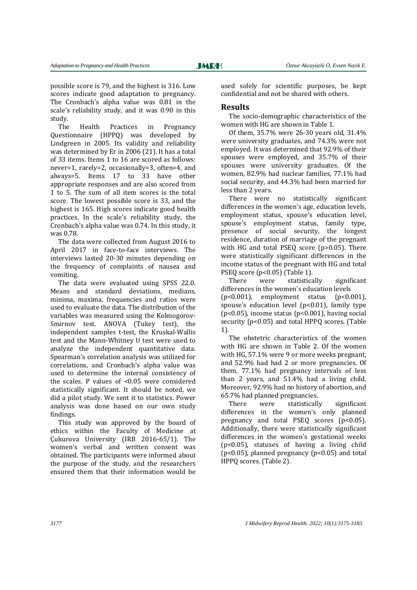Ī

possible score is 79, and the highest is 316. Low scores indicate good adaptation to pregnancy. The Cronbach's alpha value was 0.81 in the scale's reliability study, and it was 0.90 in this study. 

The Health Practices in Pregnancy Questionnaire (HPPQ) was developed by Lindgreen in 2005. Its validity and reliability was determined by Er in 2006 (21). It has a total of 33 items. Items 1 to 16 are scored as follows: never=1, rarely=2, occasionally=3, often=4, and always=5. Items 17 to 33 have other appropriate responses and are also scored from 1 to 5. The sum of all item scores is the total score. The lowest possible score is 33, and the highest is 165. High scores indicate good health practices. In the scale's reliability study, the Cronbach's alpha value was 0.74. In this study, it was 0.78. 

The data were collected from August 2016 to April 2017 in face-to-face interviews. The interviews lasted 20-30 minutes depending on the frequency of complaints of nausea and vomiting. 

The data were evaluated using SPSS 22.0. Means and standard deviations, medians, minima, maxima, frequencies and ratios were used to evaluate the data. The distribution of the variables was measured using the Kolmogorov-Smirnov test. ANOVA (Tukey test), the independent samples t-test, the Kruskal-Wallis test and the Mann-Whitney U test were used to analyze the independent quantitative data. Spearman's correlation analysis was utilized for correlations, and Cronbach's alpha value was used to determine the internal consistency of the scales. P values of  $\leq 0.05$  were considered statistically significant. It should be noted, we did a pilot study. We sent it to statistics. Power analysis was done based on our own study findings.

This study was approved by the board of ethics within the Faculty of Medicine at Çukurova University (IRB 2016‐65/1). The women's verbal and written consent was obtained. The participants were informed about the purpose of the study, and the researchers ensured them that their information would be

used solely for scientific purposes, be kept confidential and not be shared with others.

### **Results**

The socio-demographic characteristics of the women with HG are shown in Table 1.

Of them,  $35.7\%$  were  $26-30$  years old,  $31.4\%$ were university graduates, and 74.3% were not employed. It was determined that 92.9% of their spouses were employed, and 35.7% of their spouses were university graduates. Of the women, 82.9% had nuclear families, 77.1% had social security, and 44.3% had been married for less than 2 years.

There were no statistically significant differences in the women's age, education levels, employment status, spouse's education level, spouse's employment status, family type, presence of social security, the longest residence, duration of marriage of the pregnant with HG and total PSEO score  $(p>0.05)$ . There were statistically significant differences in the income status of the pregnant with HG and total PSEQ score  $(p<0.05)$  (Table 1).

There were statistically significant differences in the women's education levels

 $(p<0.001)$ , employment status  $(p<0.001)$ , spouse's education level ( $p$ <0.01), family type ( $p$ <0.05), income status ( $p$ <0.001), having social security  $(p<0.05)$  and total HPPQ scores. (Table 1). 

The obstetric characteristics of the women with HG are shown in Table 2. Of the women with HG, 57.1% were 9 or more weeks pregnant, and 52.9% had had 2 or more pregnancies. Of them,  $77.1\%$  had pregnancy intervals of less than 2 years, and  $51.4\%$  had a living child. Moreover, 92.9% had no history of abortion, and 65.7% had planned pregnancies. 

There were statistically significant differences in the women's only planned pregnancy and total PSEQ scores (p<0.05). Additionally, there were statistically significant differences in the women's gestational weeks ( $p$ <0.05), statuses of having a living child ( $p$ <0.05), planned pregnancy ( $p$ <0.05) and total HPPQ scores. (Table 2).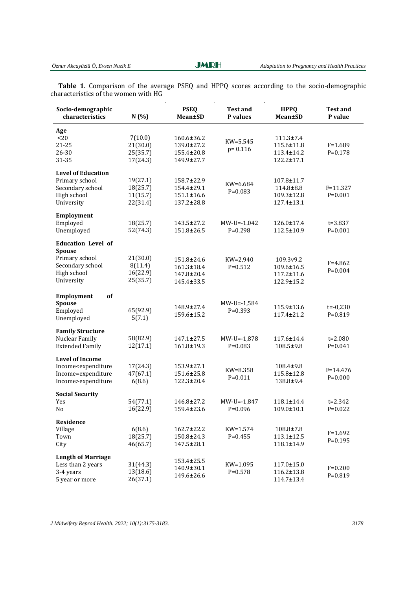**JMRH** 

Table 1. Comparison of the average PSEQ and HPPQ scores according to the socio-demographic characteristics of the women with  $HG$ 

| Socio-demographic<br>characteristics                                                                           | N(%)                                         | <b>PSEO</b><br><b>Mean±SD</b>                              | <b>Test and</b><br>P values | <b>HPPQ</b><br><b>Mean±SD</b>                                   | <b>Test and</b><br>P value  |
|----------------------------------------------------------------------------------------------------------------|----------------------------------------------|------------------------------------------------------------|-----------------------------|-----------------------------------------------------------------|-----------------------------|
| Age<br>$<$ 20<br>21-25<br>26-30<br>31-35                                                                       | 7(10.0)<br>21(30.0)<br>25(35.7)<br>17(24.3)  | $160.6 \pm 36.2$<br>139.0±27.2<br>155.4±20.8<br>149.9±27.7 | $KW=5.545$<br>$p = 0.116$   | $111.3 \pm 7.4$<br>115.6±11.8<br>$113.4 \pm 14.2$<br>122.2±17.1 | $F = 1.689$<br>$P = 0.178$  |
| <b>Level of Education</b><br>Primary school<br>Secondary school<br>High school<br>University                   | 19(27.1)<br>18(25.7)<br>11(15.7)<br>22(31.4) | 158.7±22.9<br>154.4±29.1<br>$151.1 \pm 16.6$<br>137.2±28.8 | KW=6.684<br>$P=0.083$       | 107.8±11.7<br>114.8±8.8<br>$109.3 \pm 12.8$<br>127.4±13.1       | $F = 11.327$<br>$P = 0.001$ |
| Employment<br>Employed<br>Unemployed                                                                           | 18(25.7)<br>52(74.3)                         | 143.5±27.2<br>151.8±26.5                                   | $MW-U=-1.042$<br>$P=0.298$  | 126.0±17.4<br>112.5±10.9                                        | $t = 3.837$<br>$P=0.001$    |
| <b>Education Level of</b><br><b>Spouse</b><br>Primary school<br>Secondary school<br>High school<br>University  | 21(30.0)<br>8(11.4)<br>16(22.9)<br>25(35.7)  | 151.8±24.6<br>$161.3 \pm 18.4$<br>147.8±20.4<br>145.4±33.5 | KW=2,940<br>$P = 0.512$     | 109.3v9.2<br>109.6±16.5<br>$117.2 \pm 11.6$<br>122.9±15.2       | $F = 4.862$<br>$P=0.004$    |
| of<br>Employment<br><b>Spouse</b><br>Employed<br>Unemployed                                                    | 65(92.9)<br>5(7.1)                           | 148.9±27.4<br>159.6±15.2                                   | $MW-U=-1,584$<br>$P=0.393$  | 115.9±13.6<br>$117.4 \pm 21.2$                                  | $t = -0,230$<br>$P=0.819$   |
| <b>Family Structure</b><br>Nuclear Family<br><b>Extended Family</b>                                            | 58(82.9)<br>12(17.1)                         | 147.1±27.5<br>161.8±19.3                                   | $MW-U=-1,878$<br>$P=0.083$  | $117.6 \pm 14.4$<br>$108.5 \pm 9.8$                             | $t = 2.080$<br>$P = 0.041$  |
| <b>Level of Income</b><br>Income <expenditure<br>Income=expenditure<br/>Income&gt;expenditure</expenditure<br> | 17(24.3)<br>47(67.1)<br>6(8.6)               | 153.9±27.1<br>151.6±25.8<br>$122.3 \pm 20.4$               | KW=8.358<br>$P=0.011$       | 108.4±9.8<br>115.8±12.8<br>138.8±9.4                            | $F = 14.476$<br>$P = 0.000$ |
| <b>Social Security</b><br>Yes<br>N <sub>0</sub>                                                                | 54(77.1)<br>16(22.9)                         | 146.8±27.2<br>159.4±23.6                                   | $MW-U=-1,847$<br>$P=0.096$  | 118.1±14.4<br>$109.0 \pm 10.1$                                  | $t = 2.342$<br>$P=0.022$    |
| Residence<br>Village<br>Town<br>City                                                                           | 6(8.6)<br>18(25.7)<br>46(65.7)               | $162.7 \pm 22.2$<br>150.8±24.3<br>147.5±28.1               | $KW=1.574$<br>$P = 0.455$   | 108.8±7.8<br>$113.1 \pm 12.5$<br>118.1±14.9                     | $F = 1.692$<br>$P = 0.195$  |
| <b>Length of Marriage</b><br>Less than 2 years<br>3-4 years<br>5 year or more                                  | 31(44.3)<br>13(18.6)<br>26(37.1)             | 153.4±25.5<br>140.9±30.1<br>149.6±26.6                     | KW=1.095<br>$P = 0.578$     | 117.0±15.0<br>$116.2 \pm 13.8$<br>114.7±13.4                    | $F = 0.200$<br>$P = 0.819$  |

*J Midwifery Reprod Health. 2022; 10(1):3175-3183. 3178*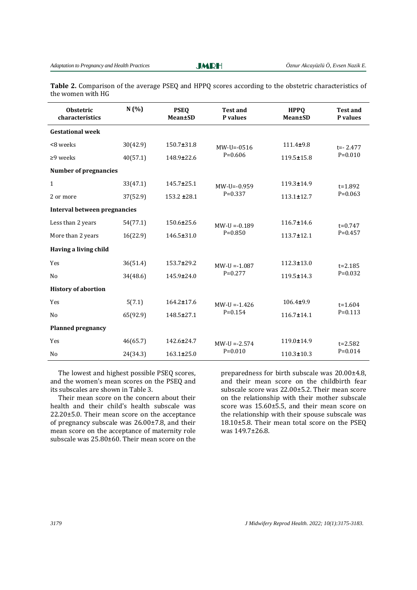**JMRH** 

Ī

**Table 2.** Comparison of the average PSEQ and HPPQ scores according to the obstetric characteristics of the women with HG

| <b>Obstetric</b><br>characteristics | N(%)     | <b>PSEQ</b><br>Mean±SD | <b>Test and</b><br>P values | <b>HPPO</b><br><b>Mean±SD</b> | <b>Test and</b><br>P values |
|-------------------------------------|----------|------------------------|-----------------------------|-------------------------------|-----------------------------|
| <b>Gestational week</b>             |          |                        |                             |                               |                             |
| <8 weeks                            | 30(42.9) | $150.7 \pm 31.8$       | $MW-U=-0516$                | $111.4 + 9.8$                 | $t = -2.477$                |
| $\geq$ 9 weeks                      | 40(57.1) | 148.9±22.6             | $P=0.606$                   | $119.5 \pm 15.8$              | $P=0.010$                   |
| <b>Number of pregnancies</b>        |          |                        |                             |                               |                             |
| $\mathbf{1}$                        | 33(47.1) | 145.7±25.1             | $MW-IJ = -0.959$            | 119.3±14.9                    | $t = 1.892$                 |
| 2 or more                           | 37(52.9) | $153.2 \pm 28.1$       | $P=0.337$                   | $113.1 \pm 12.7$              | $P=0.063$                   |
| Interval between pregnancies        |          |                        |                             |                               |                             |
| Less than 2 years                   | 54(77.1) | 150.6±25.6             | $MW-U = -0.189$             | $116.7 \pm 14.6$              | $t=0.747$                   |
| More than 2 years                   | 16(22.9) | 146.5±31.0             | $P = 0.850$                 | $113.7 \pm 12.1$              | $P=0.457$                   |
| Having a living child               |          |                        |                             |                               |                             |
| Yes                                 | 36(51.4) | 153.7±29.2             | $MW-IJ = -1.087$            | $112.3 \pm 13.0$              | $t = 2.185$                 |
| N <sub>0</sub>                      | 34(48.6) | 145.9±24.0             | $P=0.277$                   | 119.5±14.3                    | $P=0.032$                   |
| <b>History of abortion</b>          |          |                        |                             |                               |                             |
| Yes                                 | 5(7.1)   | $164.2 \pm 17.6$       | $MW-IJ = -1.426$            | $106.4 + 9.9$                 | $t = 1.604$                 |
| N <sub>0</sub>                      | 65(92.9) | 148.5±27.1             | $P = 0.154$                 | $116.7 \pm 14.1$              | $P=0.113$                   |
| <b>Planned pregnancy</b>            |          |                        |                             |                               |                             |
| Yes                                 | 46(65.7) | 142.6±24.7             | $MW-U = -2.574$             | 119.0±14.9                    | $t = 2.582$                 |
| N <sub>0</sub>                      | 24(34.3) | $163.1 \pm 25.0$       | $P=0.010$                   | $110.3 \pm 10.3$              | $P=0.014$                   |

The lowest and highest possible PSEQ scores, and the women's mean scores on the PSEO and its subscales are shown in Table 3.

Their mean score on the concern about their health and their child's health subscale was  $22.20\pm5.0$ . Their mean score on the acceptance of pregnancy subscale was  $26.00\pm7.8$ , and their mean score on the acceptance of maternity role subscale was  $25.80\pm60$ . Their mean score on the

preparedness for birth subscale was  $20.00\pm4.8$ , and their mean score on the childbirth fear subscale score was 22.00±5.2. Their mean score on the relationship with their mother subscale score was  $15.60\pm 5.5$ , and their mean score on the relationship with their spouse subscale was  $18.10\pm5.8$ . Their mean total score on the PSEQ was 149.7±26.8.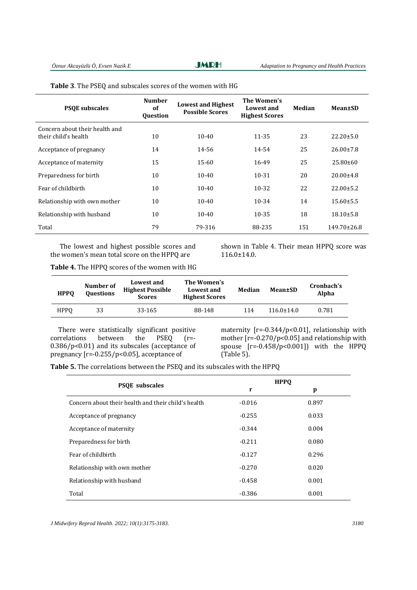**JMRH** 

| Table 3. The PSEQ and subscales scores of the women with HG |  |  |
|-------------------------------------------------------------|--|--|
|-------------------------------------------------------------|--|--|

| <b>PSOE</b> subscales                                  | <b>Number</b><br>of<br><b>Ouestion</b> | <b>Lowest and Highest</b><br><b>Possible Scores</b> | The Women's<br>Lowest and<br><b>Highest Scores</b> | Median | Mean±SD           |
|--------------------------------------------------------|----------------------------------------|-----------------------------------------------------|----------------------------------------------------|--------|-------------------|
| Concern about their health and<br>their child's health | 10                                     | $10 - 40$                                           | 11-35                                              | 23     | $22.20 \pm 5.0$   |
| Acceptance of pregnancy                                | 14                                     | 14-56                                               | 14-54                                              | 25     | $26.00 \pm 7.8$   |
| Acceptance of maternity                                | 15                                     | $15 - 60$                                           | 16-49                                              | 25     | $25.80\pm 60$     |
| Preparedness for birth                                 | 10                                     | $10 - 40$                                           | $10 - 31$                                          | 20     | $20.00 \pm 4.8$   |
| Fear of childbirth                                     | 10                                     | $10-40$                                             | $10 - 32$                                          | 22     | $22.00 \pm 5.2$   |
| Relationship with own mother                           | 10                                     | $10 - 40$                                           | $10 - 34$                                          | 14     | $15.60 \pm 5.5$   |
| Relationship with husband                              | 10                                     | $10 - 40$                                           | $10 - 35$                                          | 18     | $18.10 \pm 5.8$   |
| Total                                                  | 79                                     | 79-316                                              | 88-235                                             | 151    | $149.70 \pm 26.8$ |

The lowest and highest possible scores and the women's mean total score on the HPPQ are

shown in Table 4. Their mean HPPQ score was 116.0±14.0. 

| <b>HPPO</b> | Number of<br><b>Questions</b> | Lowest and<br><b>Highest Possible</b><br><b>Scores</b> | The Women's<br>Lowest and<br><b>Highest Scores</b> | Median | Mean±SD          | Cronbach's<br>Alpha |
|-------------|-------------------------------|--------------------------------------------------------|----------------------------------------------------|--------|------------------|---------------------|
| <b>HPPO</b> | 33                            | 33-165                                                 | 88-148                                             | 114    | $116.0 \pm 14.0$ | 0.781               |

There were statistically significant positive correlations between the PSEQ (r=- $0.386/p<0.01$ ) and its subscales (acceptance of pregnancy  $[r=.0.255/p<0.05]$ , acceptance of

maternity  $[r=.0.344/p<0.01]$ , relationship with mother  $[r=0.270/p<0.05]$  and relationship with spouse  $[r=.0.458/p<0.001])$  with the HPPQ  $(Table 5)$ .

Table 5. The correlations between the PSEQ and its subscales with the HPPQ

| <b>PSOE</b> subscales                               |          | <b>HPPO</b> |
|-----------------------------------------------------|----------|-------------|
|                                                     | r        | p           |
| Concern about their health and their child's health | $-0.016$ | 0.897       |
| Acceptance of pregnancy                             | $-0.255$ | 0.033       |
| Acceptance of maternity                             | $-0.344$ | 0.004       |
| Preparedness for birth                              | $-0.211$ | 0.080       |
| Fear of childbirth                                  | $-0.127$ | 0.296       |
| Relationship with own mother                        | $-0.270$ | 0.020       |
| Relationship with husband                           | $-0.458$ | 0.001       |
| Total                                               | $-0.386$ | 0.001       |

*J Midwifery Reprod Health. 2022; 10(1):3175-3183. 3180*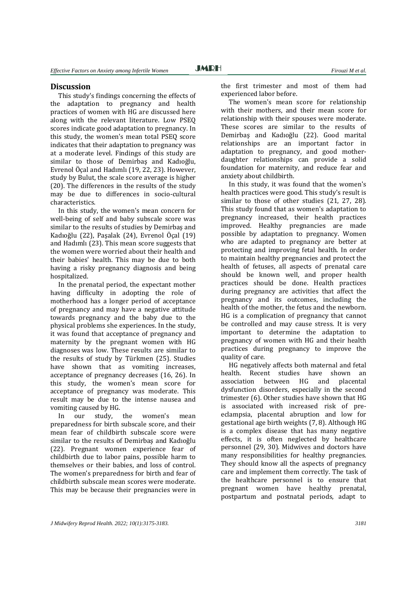#### **Discussion**

This study's findings concerning the effects of the adaptation to pregnancy and health practices of women with HG are discussed here along with the relevant literature. Low PSEQ scores indicate good adaptation to pregnancy. In this study, the women's mean total PSEQ score indicates that their adaptation to pregnancy was at a moderate level. Findings of this study are similar to those of Demirbas and Kadıoğlu, Evrenol Öcal and Hadımlı (19, 22, 23). However, study by Bulut, the scale score average is higher (20). The differences in the results of the study may be due to differences in socio-cultural characteristics. 

In this study, the women's mean concern for well-being of self and baby subscale score was similar to the results of studies by Demirbaş and Kadıoğlu (22), Paşalak (24), Evrenol Öçal (19) and Hadimli (23). This mean score suggests that the women were worried about their health and their babies' health. This may be due to both having a risky pregnancy diagnosis and being hospitalized. 

In the prenatal period, the expectant mother having difficulty in adopting the role of motherhood has a longer period of acceptance of pregnancy and may have a negative attitude towards pregnancy and the baby due to the physical problems she experiences. In the study, it was found that acceptance of pregnancy and maternity by the pregnant women with HG diagnoses was low. These results are similar to the results of study by Türkmen (25). Studies have shown that as vomiting increases, acceptance of pregnancy decreases (16, 26). In this study, the women's mean score for acceptance of pregnancy was moderate. This result may be due to the intense nausea and vomiting caused by HG.

In our study, the women's mean preparedness for birth subscale score, and their mean fear of childbirth subscale score were similar to the results of Demirbas and Kadıoğlu (22). Pregnant women experience fear of childbirth due to labor pains, possible harm to themselves or their babies, and loss of control. The women's preparedness for birth and fear of childbirth subscale mean scores were moderate. This may be because their pregnancies were in

the first trimester and most of them had experienced labor before.

The women's mean score for relationship with their mothers, and their mean score for relationship with their spouses were moderate. These scores are similar to the results of Demirbaş and Kadıoğlu (22). Good marital relationships are an important factor in adaptation to pregnancy, and good motherdaughter relationships can provide a solid foundation for maternity, and reduce fear and anxiety about childbirth.

In this study, it was found that the women's health practices were good. This study's result is similar to those of other studies  $(21, 27, 28)$ . This study found that as women's adaptation to pregnancy increased, their health practices improved. Healthy pregnancies are made possible by adaptation to pregnancy. Women who are adapted to pregnancy are better at protecting and improving fetal health. In order to maintain healthy pregnancies and protect the health of fetuses, all aspects of prenatal care should be known well, and proper health practices should be done. Health practices during pregnancy are activities that affect the pregnancy and its outcomes, including the health of the mother, the fetus and the newborn. HG is a complication of pregnancy that cannot be controlled and may cause stress. It is very important to determine the adaptation to pregnancy of women with HG and their health practices during pregnancy to improve the quality of care.

HG negatively affects both maternal and fetal health. Recent studies have shown an association between HG and placental dysfunction disorders, especially in the second trimester  $(6)$ . Other studies have shown that HG is associated with increased risk of preeclampsia, placental abruption and low for gestational age birth weights  $(7, 8)$ . Although HG is a complex disease that has many negative effects, it is often neglected by healthcare personnel (29, 30). Midwives and doctors have many responsibilities for healthy pregnancies. They should know all the aspects of pregnancy care and implement them correctly. The task of the healthcare personnel is to ensure that pregnant women have healthy prenatal, postpartum and postnatal periods, adapt to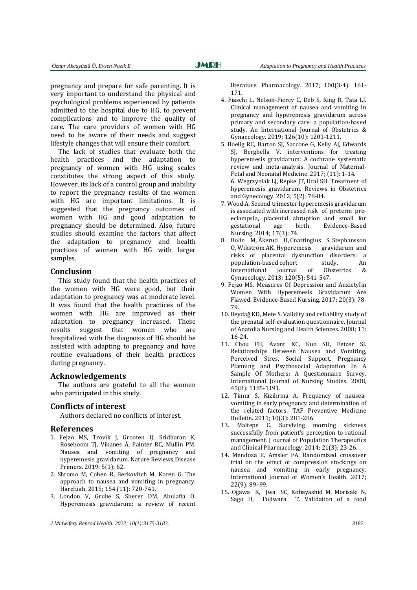pregnancy and prepare for safe parenting. It is very important to understand the physical and psychological problems experienced by patients admitted to the hospital due to HG, to prevent complications and to improve the quality of care. The care providers of women with HG need to be aware of their needs and suggest lifestyle changes that will ensure their comfort.

The lack of studies that evaluate both the health practices and the adaptation to pregnancy of women with HG using scales constitutes the strong aspect of this study. However, its lack of a control group and inability to report the pregnancy results of the women with HG are important limitations. It is suggested that the pregnancy outcomes of women with HG and good adaptation to pregnancy should be determined. Also, future studies should examine the factors that affect the adaptation to pregnancy and health practices of women with HG with larger samples. 

#### **Conclusion**

This study found that the health practices of the women with HG were good, but their adaptation to pregnancy was at moderate level. It was found that the health practices of the women with HG are improved as their adaptation to pregnancy increased. These results suggest that women who are hospitalized with the diagnosis of HG should be assisted with adapting to pregnancy and have routine evaluations of their health practices during pregnancy.

#### **Acknowledgements**

The authors are grateful to all the women who participated in this study.

#### **Conflicts of interest**

Authors declared no conflicts of interest.

#### **References**

- 1. Fejzo MS, Trovik J, Grooten IJ, Sridharan K, Roseboom TJ, Vikanes Å, Painter RC, Mullin PM. Nausea and vomiting of pregnancy and hyperemesis gravidarum. Nature Reviews Disease Primers. 2019; 5(1): 62.
- 2. Shtomo M, Cohen R, Berkovitch M, Koren G. The approach to nausea and vomiting in pregnancy. Harefuah. 2015; 154 (11): 720-741.
- 3. London V, Grube S, Sherer DM, Abulafia O. Hyperemesis gravidarum: a review of recent

*J Midwifery Reprod Health. 2022; 10(1):3175-3183. 3182* 

literature. Pharmacology. 2017; 100(3-4): 161-171. 

- 4. Fiaschi L, Nelson-Piercy C, Deb S, King R, Tata LJ. Clinical management of nausea and vomiting in pregnancy and hyperemesis gravidarum across primary and secondary care: a population-based study. An International Journal of Obstetrics & Gynaecology. 2019; 126(10): 1201-1211.
- 5. Boelig RC, Barton SJ, Saccone G, Kelly AJ, Edwards SJ, Berghella V. interventions for treating hyperemesis gravidarum: A cochrane systematic review and meta-analysis. Journal of Maternal-Fetal and Neonatal Medicine. 2017; (11): 1-14. 6. Wegrzyniak LJ, Repke JT, Ural SH. Treatment of hyperemesis gravidarum. Reviews in Obstetrics and Gynecology. 2012; 5(2): 78-84.
- 7. Wood A. Second trimester hyperemesis gravidarum is associated with increased risk of preterm preeclampsia, placental abruption and small for gestational age birth. Evidence-Based Nursing. 2014; 17(3): 74.
- 8. Bolin M, Åkerud H, Cnattingius S, Stephansson O, Wikström AK. Hyperemesis gravidarum and 0, Wikström AK. Hyperemesis risks of placental dysfunction disorders: a population-based cohort study. An International Journal of Obstetrics & Gynaecology. 2013: 120(5): 541-547.
- 9. Fejzo MS. Measures Of Depression and Anxietylin Women With Hyperemesis Gravidarum Are Flawed. Evidence-Based Nursing. 2017; 20(3): 78-79.
- 10. Beydağ KD, Mete S. Validity and reliability study of the prenatal self-evaluation questionnaire. Journal of Anatolia Nursing and Health Sciences. 2008; 11: 16‐24.
- 11. Chou FH, Avant KC, Kuo SH, Fetzer SJ. Relationships Between Nausea and Vomiting, Perceived Stres, Social Support, Pregnancy Planning and Psychosocial Adaptation In A Sample Of Mothers: A Questionnaire Survey. International Journal of Nursing Studies. 2008, 45(8): 1185‐1191.
- 12. Timur S. Kızılırma A. Frequency of nauseavomiting in early pregnancy and determination of the related factors. TAF Preventive Medicine Bulletin. 2011; 10(3): 281-286.
- 13. Maltepe C. Surviving morning sickness successfully from patient's perception to rational management. J ournal of Population Therapeutics and Clinical Pharmacology. 2014; 21(3): 23-26.
- 14. Mendoza E, Amsler FA. Randomized crossover trial on the effect of compression stockings on nausea and vomiting in early pregnancy. International Journal of Women's Health. 2017; 22(9): 89–99.
- 15. Ogawa K, Jwa SC, Kobayashid M, Morisaki N, Sago H, Fujiwara T. Validation of a food